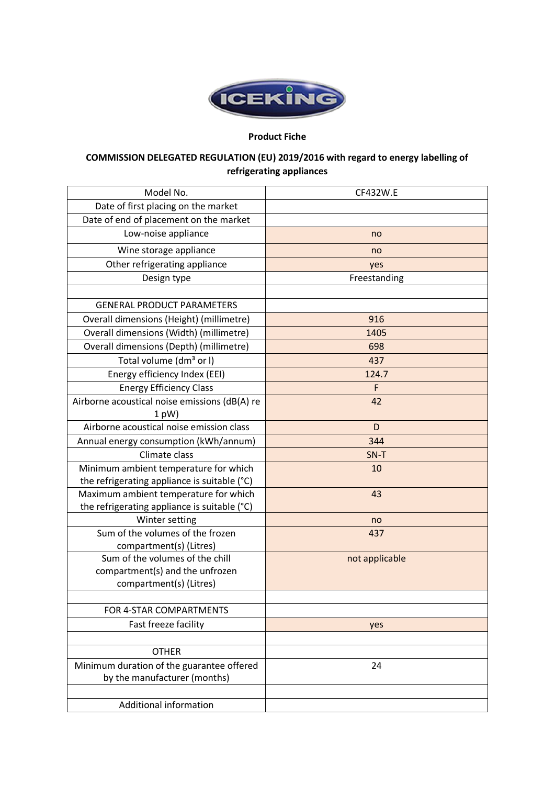

## **Product Fiche**

## **COMMISSION DELEGATED REGULATION (EU) 2019/2016 with regard to energy labelling of refrigerating appliances**

| CF432W.E       |
|----------------|
|                |
|                |
| no             |
| no             |
| yes            |
| Freestanding   |
|                |
|                |
| 916            |
| 1405           |
| 698            |
| 437            |
| 124.7          |
| F              |
| 42             |
| D              |
| 344            |
| SN-T           |
| 10             |
|                |
| 43             |
|                |
| no             |
| 437            |
|                |
| not applicable |
|                |
|                |
|                |
| yes            |
|                |
|                |
| 24             |
|                |
|                |
|                |
|                |